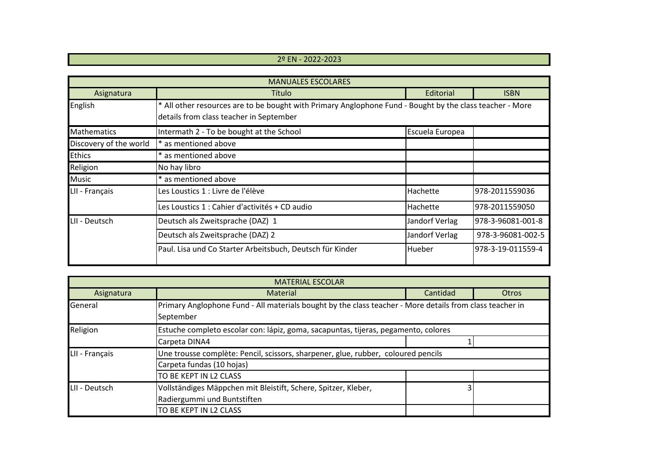## 2º EN - 2022-2023

| <b>MANUALES ESCOLARES</b> |                                                                                                                                                     |                 |                   |  |  |
|---------------------------|-----------------------------------------------------------------------------------------------------------------------------------------------------|-----------------|-------------------|--|--|
| Asignatura                | Título                                                                                                                                              | Editorial       | <b>ISBN</b>       |  |  |
| English                   | * All other resources are to be bought with Primary Anglophone Fund - Bought by the class teacher - More<br>details from class teacher in September |                 |                   |  |  |
| <b>Mathematics</b>        | Intermath 2 - To be bought at the School                                                                                                            | Escuela Europea |                   |  |  |
| Discovery of the world    | * as mentioned above                                                                                                                                |                 |                   |  |  |
| <b>Ethics</b>             | * as mentioned above                                                                                                                                |                 |                   |  |  |
| Religion                  | No hay libro                                                                                                                                        |                 |                   |  |  |
| <b>Music</b>              | * as mentioned above                                                                                                                                |                 |                   |  |  |
| LII - Français            | Les Loustics 1 : Livre de l'élève                                                                                                                   | Hachette        | 978-2011559036    |  |  |
|                           | Les Loustics 1 : Cahier d'activités + CD audio                                                                                                      | Hachette        | 978-2011559050    |  |  |
| LII - Deutsch             | Deutsch als Zweitsprache (DAZ) 1                                                                                                                    | Jandorf Verlag  | 978-3-96081-001-8 |  |  |
|                           | Deutsch als Zweitsprache (DAZ) 2                                                                                                                    | Jandorf Verlag  | 978-3-96081-002-5 |  |  |
|                           | Paul. Lisa und Co Starter Arbeitsbuch, Deutsch für Kinder                                                                                           | Hueber          | 978-3-19-011559-4 |  |  |

| <b>MATERIAL ESCOLAR</b> |                                                                                                                       |          |       |  |  |
|-------------------------|-----------------------------------------------------------------------------------------------------------------------|----------|-------|--|--|
| Asignatura              | <b>Material</b>                                                                                                       | Cantidad | Otros |  |  |
| General                 | Primary Anglophone Fund - All materials bought by the class teacher - More details from class teacher in<br>September |          |       |  |  |
| Religion                | Estuche completo escolar con: lápiz, goma, sacapuntas, tijeras, pegamento, colores                                    |          |       |  |  |
|                         | Carpeta DINA4                                                                                                         |          |       |  |  |
| LII - Français          | Une trousse complète: Pencil, scissors, sharpener, glue, rubber, coloured pencils                                     |          |       |  |  |
|                         | Carpeta fundas (10 hojas)                                                                                             |          |       |  |  |
|                         | TO BE KEPT IN L2 CLASS                                                                                                |          |       |  |  |
| LII - Deutsch           | Vollständiges Mäppchen mit Bleistift, Schere, Spitzer, Kleber,                                                        |          |       |  |  |
|                         | Radiergummi und Buntstiften                                                                                           |          |       |  |  |
|                         | TO BE KEPT IN L2 CLASS                                                                                                |          |       |  |  |